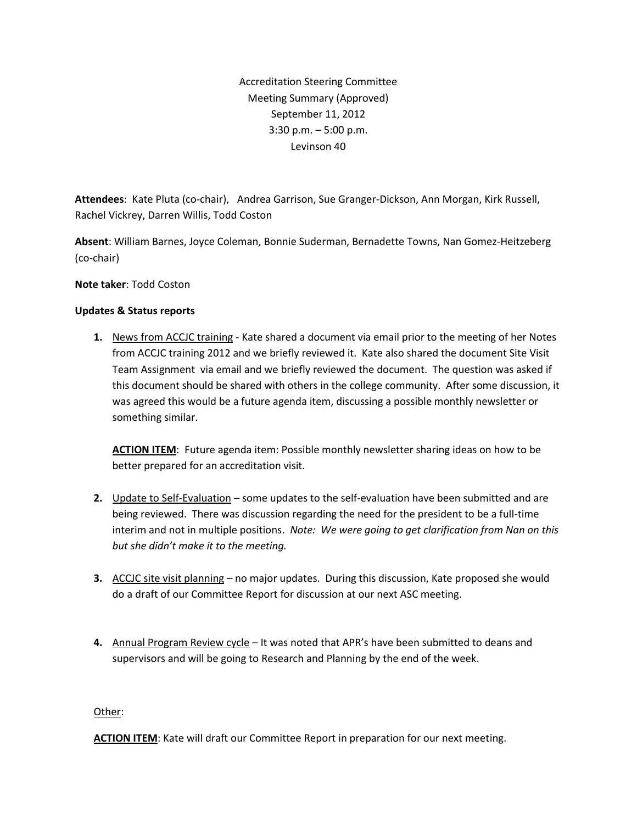Accreditation Steering Committee Meeting Summary (Approved) September 11, 2012 3:30 p.m. – 5:00 p.m. Levinson 40

**Attendees**: Kate Pluta (co-chair), Andrea Garrison, Sue Granger-Dickson, Ann Morgan, Kirk Russell, Rachel Vickrey, Darren Willis, Todd Coston

**Absent**: William Barnes, Joyce Coleman, Bonnie Suderman, Bernadette Towns, Nan Gomez-Heitzeberg (co-chair)

**Note taker**: Todd Coston

## **Updates & Status reports**

**1.** News from ACCJC training - Kate shared a document via email prior to the meeting of her Notes from ACCJC training 2012 and we briefly reviewed it. Kate also shared the document Site Visit Team Assignment via email and we briefly reviewed the document. The question was asked if this document should be shared with others in the college community. After some discussion, it was agreed this would be a future agenda item, discussing a possible monthly newsletter or something similar.

**ACTION ITEM**: Future agenda item: Possible monthly newsletter sharing ideas on how to be better prepared for an accreditation visit.

- **2.** Update to Self-Evaluation some updates to the self-evaluation have been submitted and are being reviewed. There was discussion regarding the need for the president to be a full-time interim and not in multiple positions. *Note: We were going to get clarification from Nan on this but she didn't make it to the meeting.*
- **3.** ACCJC site visit planning no major updates. During this discussion, Kate proposed she would do a draft of our Committee Report for discussion at our next ASC meeting.
- **4.** Annual Program Review cycle It was noted that APR's have been submitted to deans and supervisors and will be going to Research and Planning by the end of the week.

## Other:

**ACTION ITEM**: Kate will draft our Committee Report in preparation for our next meeting.